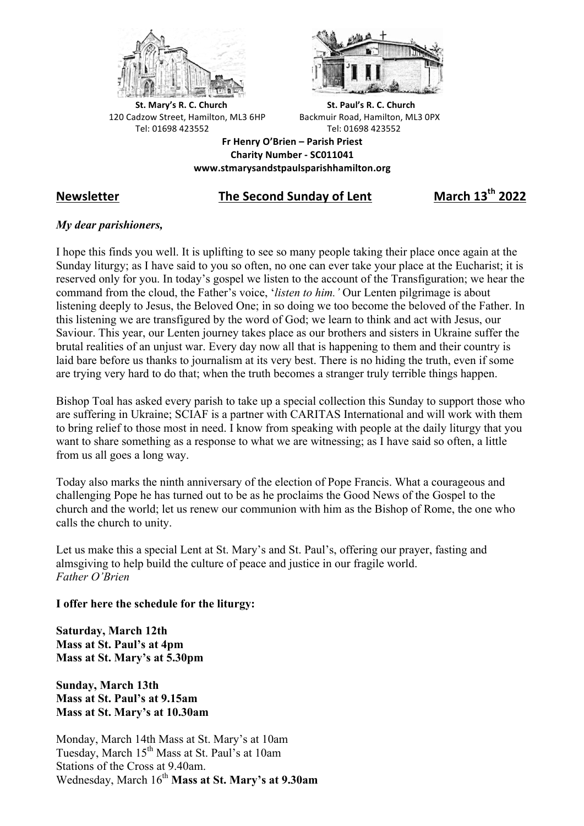



**St.** Mary's R. C. Church St. Paul's R. C. Church 120 Cadzow Street, Hamilton, ML3 6HP Backmuir Road, Hamilton, ML3 0PX Tel: 01698 423552 Tel: 01698 423552

**Fr Henry O'Brien – Parish Priest Charity Number - SC011041 www.stmarysandstpaulsparishhamilton.org**

## **Newsletter The Second Sunday of Lent March 13th 2022**

## *My dear parishioners,*

I hope this finds you well. It is uplifting to see so many people taking their place once again at the Sunday liturgy; as I have said to you so often, no one can ever take your place at the Eucharist; it is reserved only for you. In today's gospel we listen to the account of the Transfiguration; we hear the command from the cloud, the Father's voice, '*listen to him.'* Our Lenten pilgrimage is about listening deeply to Jesus, the Beloved One; in so doing we too become the beloved of the Father. In this listening we are transfigured by the word of God; we learn to think and act with Jesus, our Saviour. This year, our Lenten journey takes place as our brothers and sisters in Ukraine suffer the brutal realities of an unjust war. Every day now all that is happening to them and their country is laid bare before us thanks to journalism at its very best. There is no hiding the truth, even if some are trying very hard to do that; when the truth becomes a stranger truly terrible things happen.

Bishop Toal has asked every parish to take up a special collection this Sunday to support those who are suffering in Ukraine; SCIAF is a partner with CARITAS International and will work with them to bring relief to those most in need. I know from speaking with people at the daily liturgy that you want to share something as a response to what we are witnessing; as I have said so often, a little from us all goes a long way.

Today also marks the ninth anniversary of the election of Pope Francis. What a courageous and challenging Pope he has turned out to be as he proclaims the Good News of the Gospel to the church and the world; let us renew our communion with him as the Bishop of Rome, the one who calls the church to unity.

Let us make this a special Lent at St. Mary's and St. Paul's, offering our prayer, fasting and almsgiving to help build the culture of peace and justice in our fragile world. *Father O'Brien*

## **I offer here the schedule for the liturgy:**

**Saturday, March 12th Mass at St. Paul's at 4pm Mass at St. Mary's at 5.30pm**

**Sunday, March 13th Mass at St. Paul's at 9.15am Mass at St. Mary's at 10.30am**

Monday, March 14th Mass at St. Mary's at 10am Tuesday, March 15<sup>th</sup> Mass at St. Paul's at 10am Stations of the Cross at 9.40am. Wednesday, March 16<sup>th</sup> Mass at St. Mary's at 9.30am